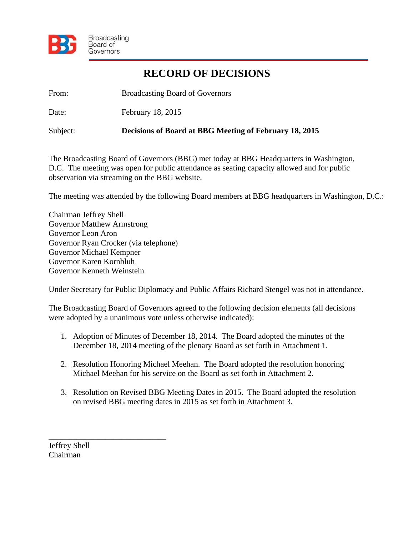

## **RECORD OF DECISIONS**

From: Broadcasting Board of Governors

Date: February 18, 2015

Subject: **Decisions of Board at BBG Meeting of February 18, 2015** 

The Broadcasting Board of Governors (BBG) met today at BBG Headquarters in Washington, D.C. The meeting was open for public attendance as seating capacity allowed and for public observation via streaming on the BBG website.

The meeting was attended by the following Board members at BBG headquarters in Washington, D.C.:

Chairman Jeffrey Shell Governor Matthew Armstrong Governor Leon Aron Governor Ryan Crocker (via telephone) Governor Michael Kempner Governor Karen Kornbluh Governor Kenneth Weinstein

Under Secretary for Public Diplomacy and Public Affairs Richard Stengel was not in attendance.

The Broadcasting Board of Governors agreed to the following decision elements (all decisions were adopted by a unanimous vote unless otherwise indicated):

- 1. Adoption of Minutes of December 18, 2014. The Board adopted the minutes of the December 18, 2014 meeting of the plenary Board as set forth in Attachment 1.
- 2. Resolution Honoring Michael Meehan. The Board adopted the resolution honoring Michael Meehan for his service on the Board as set forth in Attachment 2.
- 3. Resolution on Revised BBG Meeting Dates in 2015. The Board adopted the resolution on revised BBG meeting dates in 2015 as set forth in Attachment 3.

Jeffrey Shell Chairman

\_\_\_\_\_\_\_\_\_\_\_\_\_\_\_\_\_\_\_\_\_\_\_\_\_\_\_\_\_